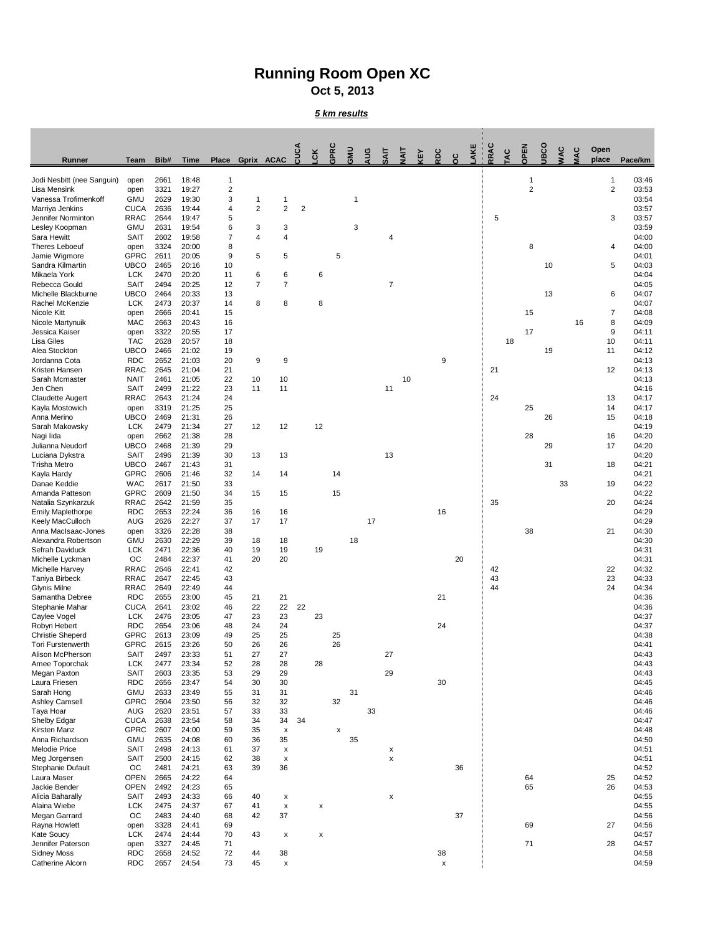## **Running Room Open XC Oct 5, 2013**

*5 km results*

| Runner                                              | <b>Team</b>                | Bib#         | <b>Time</b>    | <b>Place</b>            | Gprix ACAC          |                           | <b>CUCA</b>    | <b>CK</b>                 | GPRC     | GMU | AUG | ĘΙ             | $\overline{A}$ | <b>AEY</b> | RDC          | $\frac{c}{c}$ | AKE | RRAC | OV. | <b>OPEN</b>    | <b>BCO</b> | VAC | <b>VIAC</b> | Open<br>place  | Pace/km        |
|-----------------------------------------------------|----------------------------|--------------|----------------|-------------------------|---------------------|---------------------------|----------------|---------------------------|----------|-----|-----|----------------|----------------|------------|--------------|---------------|-----|------|-----|----------------|------------|-----|-------------|----------------|----------------|
| Jodi Nesbitt (nee Sanguin)                          | open                       | 2661         | 18:48          | 1                       |                     |                           |                |                           |          |     |     |                |                |            |              |               |     |      |     | -1             |            |     |             |                | 03:46          |
| Lisa Mensink                                        | open                       | 3321         | 19:27          | $\overline{\mathbf{c}}$ |                     |                           |                |                           |          |     |     |                |                |            |              |               |     |      |     | $\overline{2}$ |            |     |             | $\overline{2}$ | 03:53          |
| Vanessa Trofimenkoff<br>Marriya Jenkins             | <b>GMU</b><br><b>CUCA</b>  | 2629<br>2636 | 19:30<br>19:44 | 3<br>4                  | 1<br>$\overline{2}$ | 1<br>$\overline{2}$       | $\overline{2}$ |                           |          |     |     |                |                |            |              |               |     |      |     |                |            |     |             |                | 03:54<br>03:57 |
| Jennifer Norminton                                  | <b>RRAC</b>                | 2644         | 19:47          | 5                       |                     |                           |                |                           |          |     |     |                |                |            |              |               |     | 5    |     |                |            |     |             | 3              | 03:57          |
| Lesley Koopman                                      | <b>GMU</b>                 | 2631         | 19:54          | 6                       | 3                   | 3                         |                |                           |          | 3   |     |                |                |            |              |               |     |      |     |                |            |     |             |                | 03:59          |
| Sara Hewitt                                         | <b>SAIT</b>                | 2602         | 19:58          | 7                       | 4                   | $\overline{4}$            |                |                           |          |     |     | 4              |                |            |              |               |     |      |     |                |            |     |             |                | 04:00          |
| <b>Theres Leboeuf</b><br>Jamie Wigmore              | open<br><b>GPRC</b>        | 3324<br>2611 | 20:00<br>20:05 | 8<br>9                  | 5                   | 5                         |                |                           | 5        |     |     |                |                |            |              |               |     |      |     | 8              |            |     |             | 4              | 04:00<br>04:01 |
| Sandra Kilmartin                                    | <b>UBCO</b>                | 2465         | 20:16          | 10                      |                     |                           |                |                           |          |     |     |                |                |            |              |               |     |      |     |                | 10         |     |             | 5              | 04:03          |
| Mikaela York                                        | <b>LCK</b>                 | 2470         | 20:20          | 11                      | 6                   | 6                         |                | 6                         |          |     |     |                |                |            |              |               |     |      |     |                |            |     |             |                | 04:04          |
| Rebecca Gould                                       | <b>SAIT</b>                | 2494         | 20:25          | 12                      | $\overline{7}$      | $\overline{7}$            |                |                           |          |     |     | $\overline{7}$ |                |            |              |               |     |      |     |                |            |     |             |                | 04:05          |
| Michelle Blackburne<br>Rachel McKenzie              | <b>UBCO</b><br><b>LCK</b>  | 2464<br>2473 | 20:33          | 13                      |                     |                           |                |                           |          |     |     |                |                |            |              |               |     |      |     |                | 13         |     |             | 6              | 04:07<br>04:07 |
| <b>Nicole Kitt</b>                                  | open                       | 2666         | 20:37<br>20:41 | 14<br>15                | 8                   | 8                         |                | 8                         |          |     |     |                |                |            |              |               |     |      |     | 15             |            |     |             | 7              | 04:08          |
| Nicole Martynuik                                    | <b>MAC</b>                 | 2663         | 20:43          | 16                      |                     |                           |                |                           |          |     |     |                |                |            |              |               |     |      |     |                |            |     | 16          | 8              | 04:09          |
| Jessica Kaiser                                      | open                       | 3322         | 20:55          | 17                      |                     |                           |                |                           |          |     |     |                |                |            |              |               |     |      |     | 17             |            |     |             | 9              | 04:11          |
| Lisa Giles<br>Alea Stockton                         | <b>TAC</b><br><b>UBCO</b>  | 2628<br>2466 | 20:57<br>21:02 | 18<br>19                |                     |                           |                |                           |          |     |     |                |                |            |              |               |     |      | 18  |                | 19         |     |             | 10<br>11       | 04:11<br>04:12 |
| Jordanna Cota                                       | <b>RDC</b>                 | 2652         | 21:03          | 20                      | 9                   | 9                         |                |                           |          |     |     |                |                |            | 9            |               |     |      |     |                |            |     |             |                | 04:13          |
| Kristen Hansen                                      | <b>RRAC</b>                | 2645         | 21:04          | 21                      |                     |                           |                |                           |          |     |     |                |                |            |              |               |     | 21   |     |                |            |     |             | 12             | 04:13          |
| Sarah Mcmaster                                      | <b>NAIT</b>                | 2461         | 21:05          | 22                      | 10                  | 10                        |                |                           |          |     |     |                | 10             |            |              |               |     |      |     |                |            |     |             |                | 04:13          |
| Jen Chen                                            | <b>SAIT</b>                | 2499         | 21:22          | 23                      | 11                  | 11                        |                |                           |          |     |     | 11             |                |            |              |               |     |      |     |                |            |     |             |                | 04:16          |
| <b>Claudette Augert</b><br>Kayla Mostowich          | <b>RRAC</b><br>open        | 2643<br>3319 | 21:24<br>21:25 | 24<br>25                |                     |                           |                |                           |          |     |     |                |                |            |              |               |     | 24   |     | 25             |            |     |             | 13<br>14       | 04:17<br>04:17 |
| Anna Merino                                         | <b>UBCO</b>                | 2469         | 21:31          | 26                      |                     |                           |                |                           |          |     |     |                |                |            |              |               |     |      |     |                | 26         |     |             | 15             | 04:18          |
| Sarah Makowsky                                      | <b>LCK</b>                 | 2479         | 21:34          | 27                      | 12                  | 12                        |                | 12                        |          |     |     |                |                |            |              |               |     |      |     |                |            |     |             |                | 04:19          |
| Nagi lida                                           | open                       | 2662         | 21:38          | 28                      |                     |                           |                |                           |          |     |     |                |                |            |              |               |     |      |     | 28             |            |     |             | 16             | 04:20          |
| Julianna Neudorf<br>Luciana Dykstra                 | <b>UBCO</b><br><b>SAIT</b> | 2468<br>2496 | 21:39<br>21:39 | 29<br>30                | 13                  | 13                        |                |                           |          |     |     | 13             |                |            |              |               |     |      |     |                | 29         |     |             | 17             | 04:20<br>04:20 |
| <b>Trisha Metro</b>                                 | <b>UBCO</b>                | 2467         | 21:43          | 31                      |                     |                           |                |                           |          |     |     |                |                |            |              |               |     |      |     |                | 31         |     |             | 18             | 04:21          |
| Kayla Hardy                                         | <b>GPRC</b>                | 2606         | 21:46          | 32                      | 14                  | 14                        |                |                           | 14       |     |     |                |                |            |              |               |     |      |     |                |            |     |             |                | 04:21          |
| Danae Keddie                                        | <b>WAC</b>                 | 2617         | 21:50          | 33                      |                     |                           |                |                           |          |     |     |                |                |            |              |               |     |      |     |                |            | 33  |             | 19             | 04:22          |
| Amanda Patteson<br>Natalia Szynkarzuk               | <b>GPRC</b><br><b>RRAC</b> | 2609<br>2642 | 21:50<br>21:59 | 34<br>35                | 15                  | 15                        |                |                           | 15       |     |     |                |                |            |              |               |     | 35   |     |                |            |     |             | 20             | 04:22<br>04:24 |
| <b>Emily Maplethorpe</b>                            | <b>RDC</b>                 | 2653         | 22:24          | 36                      | 16                  | 16                        |                |                           |          |     |     |                |                |            | 16           |               |     |      |     |                |            |     |             |                | 04:29          |
| Keely MacCulloch                                    | <b>AUG</b>                 | 2626         | 22:27          | 37                      | 17                  | 17                        |                |                           |          |     | 17  |                |                |            |              |               |     |      |     |                |            |     |             |                | 04:29          |
| Anna MacIsaac-Jones                                 | open                       | 3326         | 22:28          | 38                      |                     |                           |                |                           |          |     |     |                |                |            |              |               |     |      |     | 38             |            |     |             | 21             | 04:30          |
| Alexandra Robertson<br>Sefrah Daviduck              | <b>GMU</b><br><b>LCK</b>   | 2630<br>2471 | 22:29<br>22:36 | 39<br>40                | 18<br>19            | 18<br>19                  |                | 19                        |          | 18  |     |                |                |            |              |               |     |      |     |                |            |     |             |                | 04:30<br>04:31 |
| Michelle Lyckman                                    | OC                         | 2484         | 22:37          | 41                      | 20                  | 20                        |                |                           |          |     |     |                |                |            |              | 20            |     |      |     |                |            |     |             |                | 04:31          |
| Michelle Harvey                                     | <b>RRAC</b>                | 2646         | 22:41          | 42                      |                     |                           |                |                           |          |     |     |                |                |            |              |               |     | 42   |     |                |            |     |             | 22             | 04:32          |
| Taniya Birbeck                                      | <b>RRAC</b>                | 2647         | 22:45          | 43                      |                     |                           |                |                           |          |     |     |                |                |            |              |               |     | 43   |     |                |            |     |             | 23             | 04:33          |
| <b>Glynis Milne</b><br>Samantha Debree              | <b>RRAC</b><br><b>RDC</b>  | 2649<br>2655 | 22:49<br>23:00 | 44<br>45                | 21                  | 21                        |                |                           |          |     |     |                |                |            | 21           |               |     | 44   |     |                |            |     |             | 24             | 04:34<br>04:36 |
| Stephanie Mahar                                     | <b>CUCA</b>                | 2641         | 23:02          | 46                      | 22                  | 22                        | 22             |                           |          |     |     |                |                |            |              |               |     |      |     |                |            |     |             |                | 04:36          |
| Caylee Vogel                                        | <b>LCK</b>                 | 2476         | 23:05          | 47                      | 23                  | 23                        |                | 23                        |          |     |     |                |                |            |              |               |     |      |     |                |            |     |             |                | 04:37          |
| Robyn Hebert                                        | <b>RDC</b>                 | 2654         | 23:06          | 48                      | 24                  | 24                        |                |                           |          |     |     |                |                |            | 24           |               |     |      |     |                |            |     |             |                | 04:37          |
| <b>Christie Sheperd</b><br><b>Tori Furstenwerth</b> | <b>GPRC</b><br><b>GPRC</b> | 2613<br>2615 | 23:09<br>23:26 | 49<br>50                | 25<br>26            | 25<br>26                  |                |                           | 25<br>26 |     |     |                |                |            |              |               |     |      |     |                |            |     |             |                | 04:38<br>04:41 |
| Alison McPherson                                    | <b>SAIT</b>                | 2497         | 23:33          | 51                      | 27                  | 27                        |                |                           |          |     |     | 27             |                |            |              |               |     |      |     |                |            |     |             |                | 04:43          |
| Amee Toporchak                                      | <b>LCK</b>                 | 2477         | 23:34          | 52                      | 28                  | 28                        |                | 28                        |          |     |     |                |                |            |              |               |     |      |     |                |            |     |             |                | 04:43          |
| Megan Paxton                                        | <b>SAIT</b>                | 2603         | 23:35          | 53                      | 29                  | 29                        |                |                           |          |     |     | 29             |                |            |              |               |     |      |     |                |            |     |             |                | 04:43          |
| Laura Friesen<br>Sarah Hong                         | <b>RDC</b><br><b>GMU</b>   | 2656<br>2633 | 23:47<br>23:49 | 54<br>55                | 30<br>31            | 30<br>31                  |                |                           |          | 31  |     |                |                |            | 30           |               |     |      |     |                |            |     |             |                | 04:45<br>04:46 |
| <b>Ashley Camsell</b>                               | <b>GPRC</b>                | 2604         | 23:50          | 56                      | 32                  | 32                        |                |                           | 32       |     |     |                |                |            |              |               |     |      |     |                |            |     |             |                | 04:46          |
| Taya Hoar                                           | <b>AUG</b>                 | 2620         | 23:51          | 57                      | 33                  | 33                        |                |                           |          |     | 33  |                |                |            |              |               |     |      |     |                |            |     |             |                | 04:46          |
| Shelby Edgar                                        | <b>CUCA</b>                | 2638         | 23:54          | 58                      | 34                  | 34                        | 34             |                           |          |     |     |                |                |            |              |               |     |      |     |                |            |     |             |                | 04:47          |
| Kirsten Manz<br>Anna Richardson                     | <b>GPRC</b><br><b>GMU</b>  | 2607<br>2635 | 24:00<br>24:08 | 59<br>60                | 35<br>36            | X<br>35                   |                |                           | X        | 35  |     |                |                |            |              |               |     |      |     |                |            |     |             |                | 04:48<br>04:50 |
| <b>Melodie Price</b>                                | <b>SAIT</b>                | 2498         | 24:13          | 61                      | 37                  | X                         |                |                           |          |     |     | X              |                |            |              |               |     |      |     |                |            |     |             |                | 04:51          |
| Meg Jorgensen                                       | <b>SAIT</b>                | 2500         | 24:15          | 62                      | 38                  | х                         |                |                           |          |     |     | X              |                |            |              |               |     |      |     |                |            |     |             |                | 04:51          |
| <b>Stephanie Dufault</b>                            | OC                         | 2481         | 24:21          | 63                      | 39                  | 36                        |                |                           |          |     |     |                |                |            |              | 36            |     |      |     |                |            |     |             |                | 04:52          |
| Laura Maser<br>Jackie Bender                        | <b>OPEN</b><br><b>OPEN</b> | 2665<br>2492 | 24:22<br>24:23 | 64<br>65                |                     |                           |                |                           |          |     |     |                |                |            |              |               |     |      |     | 64<br>65       |            |     |             | 25<br>26       | 04:52<br>04:53 |
| Alicia Baharally                                    | <b>SAIT</b>                | 2493         | 24:33          | 66                      | 40                  | X                         |                |                           |          |     |     | X              |                |            |              |               |     |      |     |                |            |     |             |                | 04:55          |
| Alaina Wiebe                                        | <b>LCK</b>                 | 2475         | 24:37          | 67                      | 41                  | X                         |                | X                         |          |     |     |                |                |            |              |               |     |      |     |                |            |     |             |                | 04:55          |
| Megan Garrard                                       | OC                         | 2483         | 24:40          | 68                      | 42                  | 37                        |                |                           |          |     |     |                |                |            |              | 37            |     |      |     |                |            |     |             |                | 04:56          |
| Rayna Howlett                                       | open                       | 3328         | 24:41          | 69                      |                     |                           |                |                           |          |     |     |                |                |            |              |               |     |      |     | 69             |            |     |             | 27             | 04:56          |
| Kate Soucy<br>Jennifer Paterson                     | <b>LCK</b><br>open         | 2474<br>3327 | 24:44<br>24:45 | 70<br>71                | 43                  | $\boldsymbol{\mathsf{X}}$ |                | $\boldsymbol{\mathsf{X}}$ |          |     |     |                |                |            |              |               |     |      |     | 71             |            |     |             | 28             | 04:57<br>04:57 |
| Sidney Moss                                         | <b>RDC</b>                 | 2658         | 24:52          | 72                      | 44                  | 38                        |                |                           |          |     |     |                |                |            | 38           |               |     |      |     |                |            |     |             |                | 04:58          |
| Catherine Alcorn                                    | <b>RDC</b>                 | 2657         | 24:54          | 73                      | 45                  | X                         |                |                           |          |     |     |                |                |            | $\mathsf{x}$ |               |     |      |     |                |            |     |             |                | 04:59          |